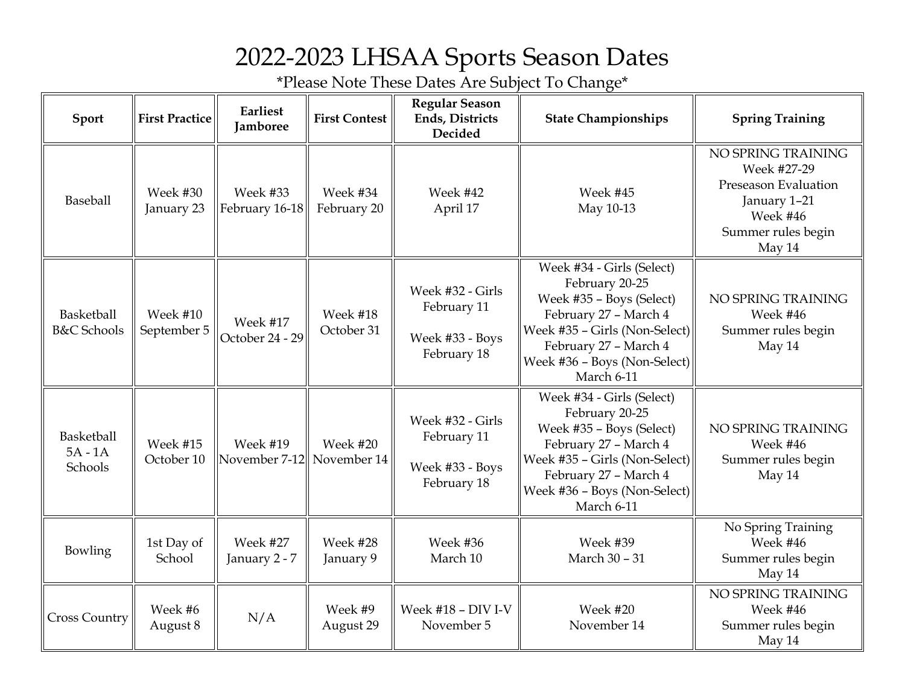## 2022-2023 LHSAA Sports Season Dates

\*Please Note These Dates Are Subject To Change\*

| Sport                                | <b>First Practice</b>   | Earliest<br><b>Jamboree</b>      | <b>First Contest</b>    | <b>Regular Season</b><br><b>Ends, Districts</b><br>Decided        | <b>State Championships</b>                                                                                                                                                                               | <b>Spring Training</b>                                                                                                |
|--------------------------------------|-------------------------|----------------------------------|-------------------------|-------------------------------------------------------------------|----------------------------------------------------------------------------------------------------------------------------------------------------------------------------------------------------------|-----------------------------------------------------------------------------------------------------------------------|
| Baseball                             | Week #30<br>January 23  | Week #33<br>February 16-18       | Week #34<br>February 20 | Week #42<br>April 17                                              | Week #45<br>May 10-13                                                                                                                                                                                    | NO SPRING TRAINING<br>Week #27-29<br>Preseason Evaluation<br>January 1-21<br>Week #46<br>Summer rules begin<br>May 14 |
| Basketball<br><b>B&amp;C</b> Schools | Week #10<br>September 5 | Week #17<br>October 24 - 29      | Week #18<br>October 31  | Week #32 - Girls<br>February 11<br>Week #33 - Boys<br>February 18 | Week #34 - Girls (Select)<br>February 20-25<br>Week #35 - Boys (Select)<br>February 27 - March 4<br>Week #35 - Girls (Non-Select)<br>February 27 - March 4<br>Week #36 - Boys (Non-Select)<br>March 6-11 | NO SPRING TRAINING<br>Week #46<br>Summer rules begin<br>May 14                                                        |
| Basketball<br>$5A - 1A$<br>Schools   | Week #15<br>October 10  | <b>Week #19</b><br>November 7-12 | Week #20<br>November 14 | Week #32 - Girls<br>February 11<br>Week #33 - Boys<br>February 18 | Week #34 - Girls (Select)<br>February 20-25<br>Week #35 - Boys (Select)<br>February 27 - March 4<br>Week #35 - Girls (Non-Select)<br>February 27 - March 4<br>Week #36 - Boys (Non-Select)<br>March 6-11 | NO SPRING TRAINING<br>Week #46<br>Summer rules begin<br>May 14                                                        |
| Bowling                              | 1st Day of<br>School    | Week #27<br>January 2 - 7        | Week #28<br>January 9   | Week #36<br>March 10                                              | Week #39<br>March 30 - 31                                                                                                                                                                                | No Spring Training<br>Week #46<br>Summer rules begin<br>May 14                                                        |
| <b>Cross Country</b>                 | Week #6<br>August 8     | N/A                              | Week #9<br>August 29    | Week #18 - DIV I-V<br>November 5                                  | Week #20<br>November 14                                                                                                                                                                                  | NO SPRING TRAINING<br>Week #46<br>Summer rules begin<br>May 14                                                        |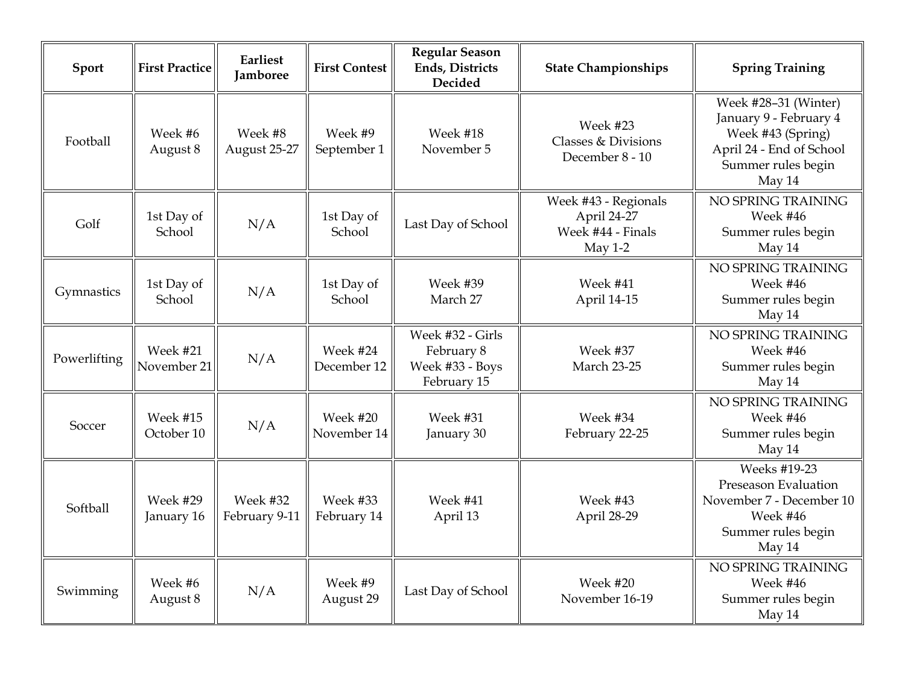| Sport        | <b>First Practice</b>   | Earliest<br><b>Jamboree</b> | <b>First Contest</b>    | <b>Regular Season</b><br>Ends, Districts<br>Decided              | <b>State Championships</b>                                            | <b>Spring Training</b>                                                                                                          |
|--------------|-------------------------|-----------------------------|-------------------------|------------------------------------------------------------------|-----------------------------------------------------------------------|---------------------------------------------------------------------------------------------------------------------------------|
| Football     | Week #6<br>August 8     | Week #8<br>August 25-27     | Week #9<br>September 1  | Week #18<br>November 5                                           | Week #23<br>Classes & Divisions<br>December 8 - 10                    | Week #28-31 (Winter)<br>January 9 - February 4<br>Week #43 (Spring)<br>April 24 - End of School<br>Summer rules begin<br>May 14 |
| Golf         | 1st Day of<br>School    | N/A                         | 1st Day of<br>School    | Last Day of School                                               | Week #43 - Regionals<br>April 24-27<br>Week #44 - Finals<br>May $1-2$ | NO SPRING TRAINING<br>Week #46<br>Summer rules begin<br>May 14                                                                  |
| Gymnastics   | 1st Day of<br>School    | N/A                         | 1st Day of<br>School    | Week #39<br>March 27                                             | Week #41<br>April 14-15                                               | NO SPRING TRAINING<br>Week #46<br>Summer rules begin<br>May 14                                                                  |
| Powerlifting | Week #21<br>November 21 | N/A                         | Week #24<br>December 12 | Week #32 - Girls<br>February 8<br>Week #33 - Boys<br>February 15 | Week #37<br><b>March 23-25</b>                                        | NO SPRING TRAINING<br>Week #46<br>Summer rules begin<br>May 14                                                                  |
| Soccer       | Week #15<br>October 10  | N/A                         | Week #20<br>November 14 | Week #31<br>January 30                                           | Week #34<br>February 22-25                                            | NO SPRING TRAINING<br>Week #46<br>Summer rules begin<br>May 14                                                                  |
| Softball     | Week #29<br>January 16  | Week #32<br>February 9-11   | Week #33<br>February 14 | Week #41<br>April 13                                             | Week #43<br>April 28-29                                               | Weeks #19-23<br>Preseason Evaluation<br>November 7 - December 10<br>Week #46<br>Summer rules begin<br>May 14                    |
| Swimming     | Week #6<br>August 8     | N/A                         | Week #9<br>August 29    | Last Day of School                                               | Week #20<br>November 16-19                                            | NO SPRING TRAINING<br>Week #46<br>Summer rules begin<br>May 14                                                                  |